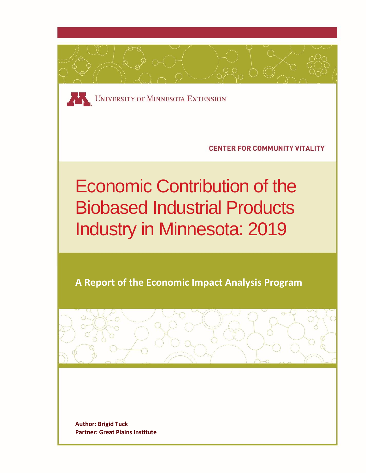

**Author: Brigid Tuck Partner: Great Plains Institute**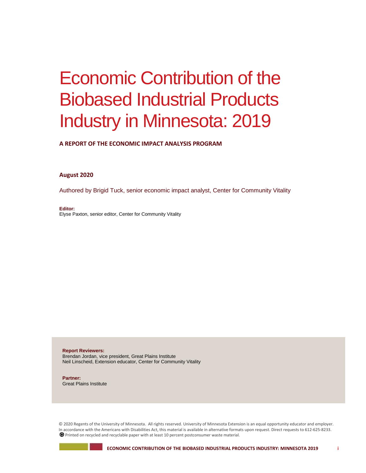# Economic Contribution of the Biobased Industrial Products Industry in Minnesota: 2019

**A REPORT OF THE ECONOMIC IMPACT ANALYSIS PROGRAM**

#### **August 2020**

Authored by Brigid Tuck, senior economic impact analyst, Center for Community Vitality

**Editor:** Elyse Paxton, senior editor, Center for Community Vitality

**Report Reviewers:** Brendan Jordan, vice president, Great Plains Institute Neil Linscheid, Extension educator, Center for Community Vitality

**Partner:** Great Plains Institute

© 2020 Regents of the University of Minnesota. All rights reserved. University of Minnesota Extension is an equal opportunity educator and employer. In accordance with the Americans with Disabilities Act, this material is available in alternative formats upon request. Direct requests to 612-625-8233. Printed on recycled and recyclable paper with at least 10 percent postconsumer waste material.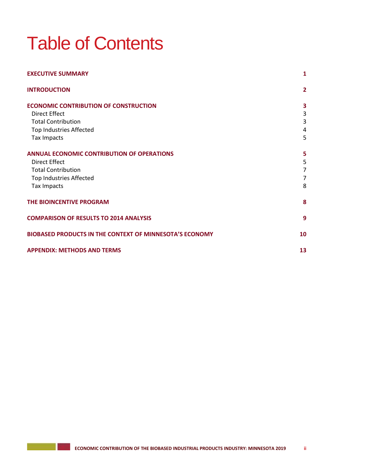# Table of Contents

| <b>EXECUTIVE SUMMARY</b>                                | 1              |
|---------------------------------------------------------|----------------|
| <b>INTRODUCTION</b>                                     | $\overline{2}$ |
| <b>ECONOMIC CONTRIBUTION OF CONSTRUCTION</b>            | 3              |
| <b>Direct Effect</b>                                    | 3              |
| <b>Total Contribution</b>                               | 3              |
| Top Industries Affected                                 | 4              |
| Tax Impacts                                             | 5              |
| <b>ANNUAL ECONOMIC CONTRIBUTION OF OPERATIONS</b>       | 5              |
| <b>Direct Effect</b>                                    | 5              |
| <b>Total Contribution</b>                               | $\overline{7}$ |
| Top Industries Affected                                 | 7              |
| Tax Impacts                                             | 8              |
| THE BIOINCENTIVE PROGRAM                                | 8              |
| <b>COMPARISON OF RESULTS TO 2014 ANALYSIS</b>           | 9              |
| BIOBASED PRODUCTS IN THE CONTEXT OF MINNESOTA'S ECONOMY | 10             |
| <b>APPENDIX: METHODS AND TERMS</b>                      | 13             |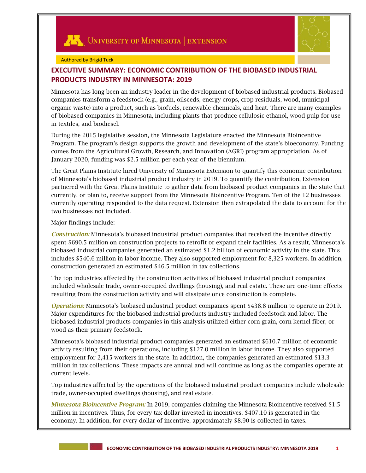



#### Authored by Brigid Tuck

# **EXECUTIVE SUMMARY: ECONOMIC CONTRIBUTION OF THE BIOBASED INDUSTRIAL PRODUCTS INDUSTRY IN MINNESOTA: 2019**

Minnesota has long been an industry leader in the development of biobased industrial products. Biobased companies transform a feedstock (e.g., grain, oilseeds, energy crops, crop residuals, wood, municipal organic waste) into a product, such as biofuels, renewable chemicals, and heat. There are many examples of biobased companies in Minnesota, including plants that produce cellulosic ethanol, wood pulp for use in textiles, and biodiesel.

During the 2015 legislative session, the Minnesota Legislature enacted the Minnesota Bioincentive Program. The program's design supports the growth and development of the state's bioeconomy. Funding comes from the Agricultural Growth, Research, and Innovation (AGRI) program appropriation. As of January 2020, funding was \$2.5 million per each year of the biennium.

The Great Plains Institute hired University of Minnesota Extension to quantify this economic contribution of Minnesota's biobased industrial product industry in 2019. To quantify the contribution, Extension partnered with the Great Plains Institute to gather data from biobased product companies in the state that currently, or plan to, receive support from the Minnesota Bioincentive Program. Ten of the 12 businesses currently operating responded to the data request. Extension then extrapolated the data to account for the two businesses not included.

#### Major findings include:

*Construction:* Minnesota's biobased industrial product companies that received the incentive directly spent \$690.5 million on construction projects to retrofit or expand their facilities. As a result, Minnesota's biobased industrial companies generated an estimated \$1.2 billion of economic activity in the state. This includes \$540.6 million in labor income. They also supported employment for 8,325 workers. In addition, construction generated an estimated \$46.5 million in tax collections.

The top industries affected by the construction activities of biobased industrial product companies included wholesale trade, owner-occupied dwellings (housing), and real estate. These are one-time effects resulting from the construction activity and will dissipate once construction is complete.

*Operations:* Minnesota's biobased industrial product companies spent \$438.8 million to operate in 2019. Major expenditures for the biobased industrial products industry included feedstock and labor. The biobased industrial products companies in this analysis utilized either corn grain, corn kernel fiber, or wood as their primary feedstock.

Minnesota's biobased industrial product companies generated an estimated \$610.7 million of economic activity resulting from their operations, including \$127.0 million in labor income. They also supported employment for 2,415 workers in the state. In addition, the companies generated an estimated \$13.3 million in tax collections. These impacts are annual and will continue as long as the companies operate at current levels.

Top industries affected by the operations of the biobased industrial product companies include wholesale trade, owner-occupied dwellings (housing), and real estate.

*Minnesota Bioincentive Program:* In 2019, companies claiming the Minnesota Bioincentive received \$1.5 million in incentives. Thus, for every tax dollar invested in incentives, \$407.10 is generated in the economy. In addition, for every dollar of incentive, approximately \$8.90 is collected in taxes.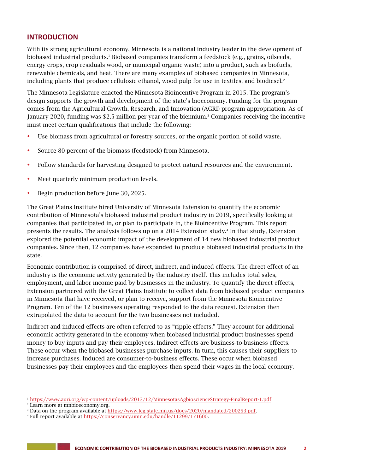# **INTRODUCTION**

With its strong agricultural economy, Minnesota is a national industry leader in the development of biobased industrial products.<sup>1</sup> Biobased companies transform a feedstock (e.g., grains, oilseeds, energy crops, crop residuals wood, or municipal organic waste) into a product, such as biofuels, renewable chemicals, and heat. There are many examples of biobased companies in Minnesota, including plants that produce cellulosic ethanol, wood pulp for use in textiles, and biodiesel. $2$ 

The Minnesota Legislature enacted the Minnesota Bioincentive Program in 2015. The program's design supports the growth and development of the state's bioeconomy. Funding for the program comes from the Agricultural Growth, Research, and Innovation (AGRI) program appropriation. As of January 2020, funding was \$2.5 million per year of the biennium.<sup>3</sup> Companies receiving the incentive must meet certain qualifications that include the following:

- Use biomass from agricultural or forestry sources, or the organic portion of solid waste.
- Source 80 percent of the biomass (feedstock) from Minnesota.
- Follow standards for harvesting designed to protect natural resources and the environment.
- Meet quarterly minimum production levels.
- Begin production before June 30, 2025.

The Great Plains Institute hired University of Minnesota Extension to quantify the economic contribution of Minnesota's biobased industrial product industry in 2019, specifically looking at companies that participated in, or plan to participate in, the Bioincentive Program. This report presents the results. The analysis follows up on a 2014 Extension study. 4 In that study, Extension explored the potential economic impact of the development of 14 new biobased industrial product companies. Since then, 12 companies have expanded to produce biobased industrial products in the state.

Economic contribution is comprised of direct, indirect, and induced effects. The direct effect of an industry is the economic activity generated by the industry itself. This includes total sales, employment, and labor income paid by businesses in the industry. To quantify the direct effects, Extension partnered with the Great Plains Institute to collect data from biobased product companies in Minnesota that have received, or plan to receive, support from the Minnesota Bioincentive Program. Ten of the 12 businesses operating responded to the data request. Extension then extrapolated the data to account for the two businesses not included.

Indirect and induced effects are often referred to as "ripple effects." They account for additional economic activity generated in the economy when biobased industrial product businesses spend money to buy inputs and pay their employees. Indirect effects are business-to-business effects. These occur when the biobased businesses purchase inputs. In turn, this causes their suppliers to increase purchases. Induced are consumer-to-business effects. These occur when biobased businesses pay their employees and the employees then spend their wages in the local economy.

**State State** 

1

<sup>1</sup> <https://www.auri.org/wp-content/uploads/2013/12/MinnesotasAgbioscienceStrategy-FinalReport-1.pdf>

<sup>2</sup> Learn more at mnbioeconomy.org.

<sup>&</sup>lt;sup>3</sup> Data on the program available at [https://www.leg.state.mn.us/docs/2020/mandated/200253.pdf.](https://www.leg.state.mn.us/docs/2020/mandated/200253.pdf)

<sup>&</sup>lt;sup>4</sup> Full report available at [https://conservancy.umn.edu/handle/11299/171600.](https://conservancy.umn.edu/handle/11299/171600)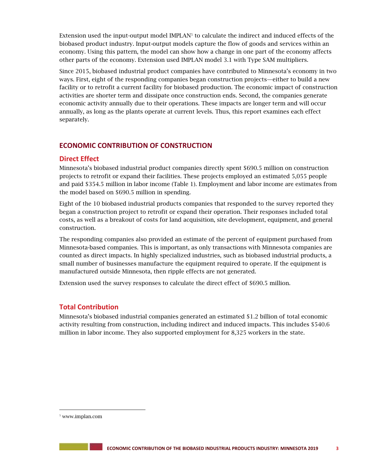Extension used the input-output model IMPLAN<sup>5</sup> to calculate the indirect and induced effects of the biobased product industry. Input-output models capture the flow of goods and services within an economy. Using this pattern, the model can show how a change in one part of the economy affects other parts of the economy. Extension used IMPLAN model 3.1 with Type SAM multipliers.

Since 2015, biobased industrial product companies have contributed to Minnesota's economy in two ways. First, eight of the responding companies began construction projects—either to build a new facility or to retrofit a current facility for biobased production. The economic impact of construction activities are shorter term and dissipate once construction ends. Second, the companies generate economic activity annually due to their operations. These impacts are longer term and will occur annually, as long as the plants operate at current levels. Thus, this report examines each effect separately.

# **ECONOMIC CONTRIBUTION OF CONSTRUCTION**

# **Direct Effect**

Minnesota's biobased industrial product companies directly spent \$690.5 million on construction projects to retrofit or expand their facilities. These projects employed an estimated 5,055 people and paid \$354.5 million in labor income (Table 1). Employment and labor income are estimates from the model based on \$690.5 million in spending.

Eight of the 10 biobased industrial products companies that responded to the survey reported they began a construction project to retrofit or expand their operation. Their responses included total costs, as well as a breakout of costs for land acquisition, site development, equipment, and general construction.

The responding companies also provided an estimate of the percent of equipment purchased from Minnesota-based companies. This is important, as only transactions with Minnesota companies are counted as direct impacts. In highly specialized industries, such as biobased industrial products, a small number of businesses manufacture the equipment required to operate. If the equipment is manufactured outside Minnesota, then ripple effects are not generated.

Extension used the survey responses to calculate the direct effect of \$690.5 million.

# **Total Contribution**

Minnesota's biobased industrial companies generated an estimated \$1.2 billion of total economic activity resulting from construction, including indirect and induced impacts. This includes \$540.6 million in labor income. They also supported employment for 8,325 workers in the state.

j

<sup>5</sup> www.implan.com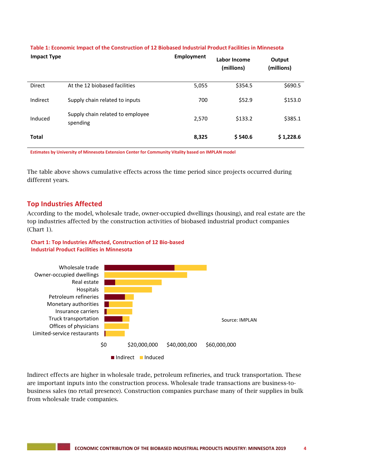| <b>Impact Type</b> |                                              | <b>Employment</b> | Labor Income<br>(millions) | Output<br>(millions) |
|--------------------|----------------------------------------------|-------------------|----------------------------|----------------------|
| Direct             | At the 12 biobased facilities                | 5,055             | \$354.5                    | \$690.5              |
| Indirect           | Supply chain related to inputs               | 700               | \$52.9                     | \$153.0              |
| Induced            | Supply chain related to employee<br>spending | 2,570             | \$133.2                    | \$385.1              |
| <b>Total</b>       |                                              | 8,325             | \$540.6                    | \$1,228.6            |

### **Table 1: Economic Impact of the Construction of 12 Biobased Industrial Product Facilities in Minnesota**

**Estimates by University of Minnesota Extension Center for Community Vitality based on IMPLAN model**

The table above shows cumulative effects across the time period since projects occurred during different years.

## **Top Industries Affected**

According to the model, wholesale trade, owner-occupied dwellings (housing), and real estate are the top industries affected by the construction activities of biobased industrial product companies (Chart 1).

## **Chart 1: Top Industries Affected, Construction of 12 Bio-based Industrial Product Facilities in Minnesota**



Indirect effects are higher in wholesale trade, petroleum refineries, and truck transportation. These are important inputs into the construction process. Wholesale trade transactions are business-tobusiness sales (no retail presence). Construction companies purchase many of their supplies in bulk from wholesale trade companies.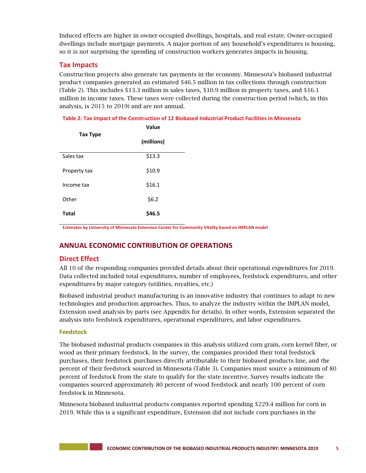Induced effects are higher in owner-occupied dwellings, hospitals, and real estate. Owner-occupied dwellings include mortgage payments. A major portion of any household's expenditures is housing, so it is not surprising the spending of construction workers generates impacts in housing.

# **Tax Impacts**

Construction projects also generate tax payments in the economy. Minnesota's biobased industrial product companies generated an estimated \$46.5 million in tax collections through construction (Table 2). This includes \$13.3 million in sales taxes, \$10.9 million in property taxes, and \$16.1 million in income taxes. These taxes were collected during the construction period (which, in this analysis, is 2015 to 2019) and are not annual.

#### **Table 2: Tax Impact of the Construction of 12 Biobased Industrial Product Facilities in Minnesota**

|                 | Value      |  |
|-----------------|------------|--|
| <b>Tax Type</b> | (millions) |  |
| Sales tax       | \$13.3     |  |
| Property tax    | \$10.9     |  |
| Income tax      | \$16.1     |  |
| Other           | \$6.2      |  |
| <b>Total</b>    | \$46.5     |  |

**Estimates by University of Minnesota Extension Center for Community Vitality based on IMPLAN model**

# **ANNUAL ECONOMIC CONTRIBUTION OF OPERATIONS**

# **Direct Effect**

All 10 of the responding companies provided details about their operational expenditures for 2019. Data collected included total expenditures, number of employees, feedstock expenditures, and other expenditures by major category (utilities, royalties, etc.)

Biobased industrial product manufacturing is an innovative industry that continues to adapt to new technologies and production approaches. Thus, to analyze the industry within the IMPLAN model, Extension used analysis by parts (see Appendix for details). In other words, Extension separated the analysis into feedstock expenditures, operational expenditures, and labor expenditures.

## **Feedstock**

The biobased industrial products companies in this analysis utilized corn grain, corn kernel fiber, or wood as their primary feedstock. In the survey, the companies provided their total feedstock purchases, their feedstock purchases directly attributable to their biobased products line, and the percent of their feedstock sourced in Minnesota (Table 3). Companies must source a minimum of 80 percent of feedstock from the state to qualify for the state incentive. Survey results indicate the companies sourced approximately 80 percent of wood feedstock and nearly 100 percent of corn feedstock in Minnesota.

Minnesota biobased industrial products companies reported spending \$229.4 million for corn in 2019. While this is a significant expenditure, Extension did not include corn purchases in the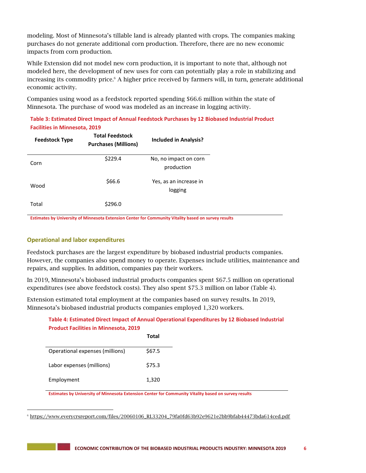modeling. Most of Minnesota's tillable land is already planted with crops. The companies making purchases do not generate additional corn production. Therefore, there are no new economic impacts from corn production.

While Extension did not model new corn production, it is important to note that, although not modeled here, the development of new uses for corn can potentially play a role in stabilizing and increasing its commodity price.<sup>6</sup> A higher price received by farmers will, in turn, generate additional economic activity.

Companies using wood as a feedstock reported spending \$66.6 million within the state of Minnesota. The purchase of wood was modeled as an increase in logging activity.

**Table 3: Estimated Direct Impact of Annual Feedstock Purchases by 12 Biobased Industrial Product Facilities in Minnesota, 2019**

| <b>Feedstock Type</b> | <b>Total Feedstock</b><br><b>Purchases (Millions)</b> | <b>Included in Analysis?</b>        |
|-----------------------|-------------------------------------------------------|-------------------------------------|
| Corn                  | \$229.4                                               | No, no impact on corn<br>production |
| Wood                  | \$66.6                                                | Yes, as an increase in<br>logging   |
| Total                 | \$296.0                                               |                                     |

**Estimates by University of Minnesota Extension Center for Community Vitality based on survey results**

#### **Operational and labor expenditures**

Feedstock purchases are the largest expenditure by biobased industrial products companies. However, the companies also spend money to operate. Expenses include utilities, maintenance and repairs, and supplies. In addition, companies pay their workers.

In 2019, Minnesota's biobased industrial products companies spent \$67.5 million on operational expenditures (see above feedstock costs). They also spent \$75.3 million on labor (Table 4).

Extension estimated total employment at the companies based on survey results. In 2019, Minnesota's biobased industrial products companies employed 1,320 workers.

## **Table 4: Estimated Direct Impact of Annual Operational Expenditures by 12 Biobased Industrial Product Facilities in Minnesota, 2019**

|                                 | Total  |
|---------------------------------|--------|
| Operational expenses (millions) | \$67.5 |
| Labor expenses (millions)       | \$75.3 |
| Employment                      | 1,320  |

**Estimates by University of Minnesota Extension Center for Community Vitality based on survey results**

l <sup>6</sup> [https://www.everycrsreport.com/files/20060106\\_RL33204\\_79fa0fd63b92e9621e2bb9bfab44473bda614ced.pdf](https://www.everycrsreport.com/files/20060106_RL33204_79fa0fd63b92e9621e2bb9bfab44473bda614ced.pdf)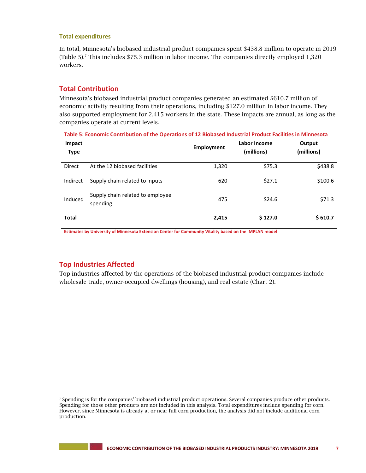#### **Total expenditures**

In total, Minnesota's biobased industrial product companies spent \$438.8 million to operate in 2019 (Table 5).<sup>7</sup> This includes \$75.3 million in labor income. The companies directly employed 1,320 workers.

## **Total Contribution**

Minnesota's biobased industrial product companies generated an estimated \$610.7 million of economic activity resulting from their operations, including \$127.0 million in labor income. They also supported employment for 2,415 workers in the state. These impacts are annual, as long as the companies operate at current levels.

**Table 5: Economic Contribution of the Operations of 12 Biobased Industrial Product Facilities in Minnesota**

| Impact<br><b>Type</b> |                                              | Employment | Labor Income<br>(millions) | Output<br>(millions) |
|-----------------------|----------------------------------------------|------------|----------------------------|----------------------|
| Direct                | At the 12 biobased facilities                | 1,320      | \$75.3                     | \$438.8              |
| Indirect              | Supply chain related to inputs               | 620        | \$27.1                     | \$100.6              |
| Induced               | Supply chain related to employee<br>spending | 475        | \$24.6                     | \$71.3               |
| <b>Total</b>          |                                              | 2,415      | \$127.0                    | \$610.7              |

**Estimates by University of Minnesota Extension Center for Community Vitality based on the IMPLAN model**

# **Top Industries Affected**

-

--

Top industries affected by the operations of the biobased industrial product companies include wholesale trade, owner-occupied dwellings (housing), and real estate (Chart 2).

<sup>7</sup> Spending is for the companies' biobased industrial product operations. Several companies produce other products. Spending for those other products are not included in this analysis. Total expenditures include spending for corn. However, since Minnesota is already at or near full corn production, the analysis did not include additional corn production.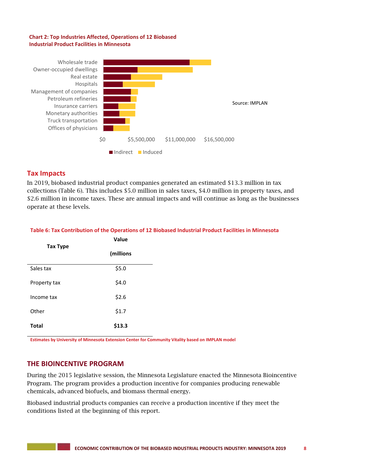#### **Chart 2: Top Industries Affected, Operations of 12 Biobased Industrial Product Facilities in Minnesota**



## **Tax Impacts**

In 2019, biobased industrial product companies generated an estimated \$13.3 million in tax collections (Table 6). This includes \$5.0 million in sales taxes, \$4.0 million in property taxes, and \$2.6 million in income taxes. These are annual impacts and will continue as long as the businesses operate at these levels.

#### **Table 6: Tax Contribution of the Operations of 12 Biobased Industrial Product Facilities in Minnesota**

|                 | Value     |
|-----------------|-----------|
| <b>Tax Type</b> | (millions |
| Sales tax       | \$5.0     |
| Property tax    | \$4.0     |
| Income tax      | \$2.6     |
| Other           | \$1.7     |
| <b>Total</b>    | \$13.3    |

**Estimates by University of Minnesota Extension Center for Community Vitality based on IMPLAN model**

## **THE BIOINCENTIVE PROGRAM**

During the 2015 legislative session, the Minnesota Legislature enacted the Minnesota Bioincentive Program. The program provides a production incentive for companies producing renewable chemicals, advanced biofuels, and biomass thermal energy.

Biobased industrial products companies can receive a production incentive if they meet the conditions listed at the beginning of this report.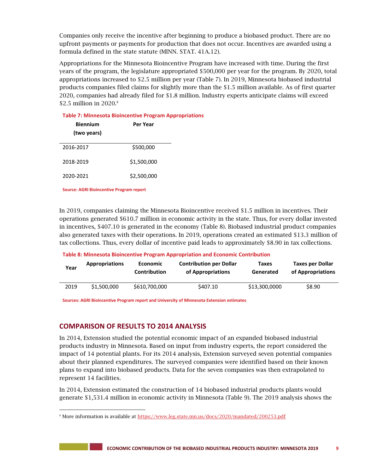Companies only receive the incentive after beginning to produce a biobased product. There are no upfront payments or payments for production that does not occur. Incentives are awarded using a formula defined in the state statute (MINN. STAT. 41A.12).

Appropriations for the Minnesota Bioincentive Program have increased with time. During the first years of the program, the legislature appropriated \$500,000 per year for the program. By 2020, total appropriations increased to \$2.5 million per year (Table 7). In 2019, Minnesota biobased industrial products companies filed claims for slightly more than the \$1.5 million available. As of first quarter 2020, companies had already filed for \$1.8 million. Industry experts anticipate claims will exceed \$2.5 million in 2020.<sup>8</sup>

| <b>Table 7: Minnesota Bioincentive Program Appropriations</b> |                 |  |  |  |
|---------------------------------------------------------------|-----------------|--|--|--|
| <b>Biennium</b>                                               | <b>Per Year</b> |  |  |  |
| (two years)                                                   |                 |  |  |  |
| 2016-2017                                                     | \$500,000       |  |  |  |
| 2018-2019                                                     | \$1,500,000     |  |  |  |
| 2020-2021                                                     | \$2,500,000     |  |  |  |
|                                                               |                 |  |  |  |

**Source: AGRI Bioincentive Program report**

j

In 2019, companies claiming the Minnesota Bioincentive received \$1.5 million in incentives. Their operations generated \$610.7 million in economic activity in the state. Thus, for every dollar invested in incentives, \$407.10 is generated in the economy (Table 8). Biobased industrial product companies also generated taxes with their operations. In 2019, operations created an estimated \$13.3 million of tax collections. Thus, every dollar of incentive paid leads to approximately \$8.90 in tax collections.

**Table 8: Minnesota Bioincentive Program Appropriation and Economic Contribution**

| Year | <b>Appropriations</b> | <b>Economic</b><br>Contribution | <b>Contribution per Dollar</b><br>of Appropriations | Taxes<br>Generated | <b>Taxes per Dollar</b><br>of Appropriations |
|------|-----------------------|---------------------------------|-----------------------------------------------------|--------------------|----------------------------------------------|
| 2019 | \$1,500,000           | \$610,700,000                   | \$407.10                                            | \$13,300,0000      | \$8.90                                       |

**Sources: AGRI Bioincentive Program report and University of Minnesota Extension estimates**

## **COMPARISON OF RESULTS TO 2014 ANALYSIS**

In 2014, Extension studied the potential economic impact of an expanded biobased industrial products industry in Minnesota. Based on input from industry experts, the report considered the impact of 14 potential plants. For its 2014 analysis, Extension surveyed seven potential companies about their planned expenditures. The surveyed companies were identified based on their known plans to expand into biobased products. Data for the seven companies was then extrapolated to represent 14 facilities.

In 2014, Extension estimated the construction of 14 biobased industrial products plants would generate \$1,531.4 million in economic activity in Minnesota (Table 9). The 2019 analysis shows the

<sup>&</sup>lt;sup>8</sup> More information is available at <https://www.leg.state.mn.us/docs/2020/mandated/200253.pdf>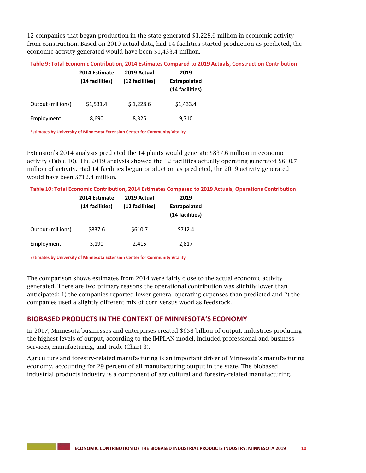12 companies that began production in the state generated \$1,228.6 million in economic activity from construction. Based on 2019 actual data, had 14 facilities started production as predicted, the economic activity generated would have been \$1,433.4 million.

|                   | 2014 Estimate<br>(14 facilities) | 2019 Actual<br>(12 facilities) | 2019<br><b>Extrapolated</b><br>(14 facilities) |
|-------------------|----------------------------------|--------------------------------|------------------------------------------------|
| Output (millions) | \$1,531.4                        | \$1,228.6                      | \$1,433.4                                      |
| Employment        | 8,690                            | 8,325                          | 9,710                                          |

**Table 9: Total Economic Contribution, 2014 Estimates Compared to 2019 Actuals, Construction Contribution**

**Estimates by University of Minnesota Extension Center for Community Vitality**

Extension's 2014 analysis predicted the 14 plants would generate \$837.6 million in economic activity (Table 10). The 2019 analysis showed the 12 facilities actually operating generated \$610.7 million of activity. Had 14 facilities begun production as predicted, the 2019 activity generated would have been \$712.4 million.

**Table 10: Total Economic Contribution, 2014 Estimates Compared to 2019 Actuals, Operations Contribution**

|                   | 2014 Estimate<br>(14 facilities) | 2019 Actual<br>(12 facilities) | 2019<br><b>Extrapolated</b><br>(14 facilities) |
|-------------------|----------------------------------|--------------------------------|------------------------------------------------|
| Output (millions) | \$837.6                          | \$610.7                        | \$712.4                                        |
| Employment        | 3,190                            | 2,415                          | 2,817                                          |

**Estimates by University of Minnesota Extension Center for Community Vitality**

The comparison shows estimates from 2014 were fairly close to the actual economic activity generated. There are two primary reasons the operational contribution was slightly lower than anticipated: 1) the companies reported lower general operating expenses than predicted and 2) the companies used a slightly different mix of corn versus wood as feedstock.

# **BIOBASED PRODUCTS IN THE CONTEXT OF MINNESOTA'S ECONOMY**

In 2017, Minnesota businesses and enterprises created \$658 billion of output. Industries producing the highest levels of output, according to the IMPLAN model, included professional and business services, manufacturing, and trade (Chart 3).

Agriculture and forestry-related manufacturing is an important driver of Minnesota's manufacturing economy, accounting for 29 percent of all manufacturing output in the state. The biobased industrial products industry is a component of agricultural and forestry-related manufacturing.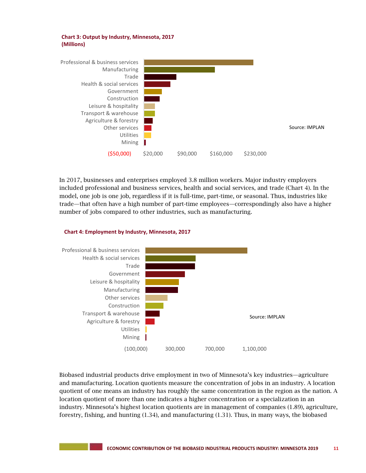



In 2017, businesses and enterprises employed 3.8 million workers. Major industry employers included professional and business services, health and social services, and trade (Chart 4). In the model, one job is one job, regardless if it is full-time, part-time, or seasonal. Thus, industries like trade—that often have a high number of part-time employees—correspondingly also have a higher number of jobs compared to other industries, such as manufacturing.





Biobased industrial products drive employment in two of Minnesota's key industries—agriculture and manufacturing. Location quotients measure the concentration of jobs in an industry. A location quotient of one means an industry has roughly the same concentration in the region as the nation. A location quotient of more than one indicates a higher concentration or a specialization in an industry. Minnesota's highest location quotients are in management of companies (1.89), agriculture, forestry, fishing, and hunting (1.34), and manufacturing (1.31). Thus, in many ways, the biobased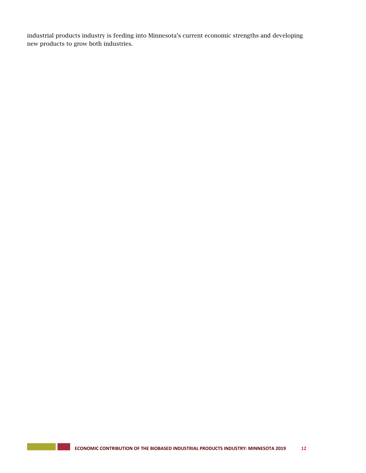industrial products industry is feeding into Minnesota's current economic strengths and developing new products to grow both industries.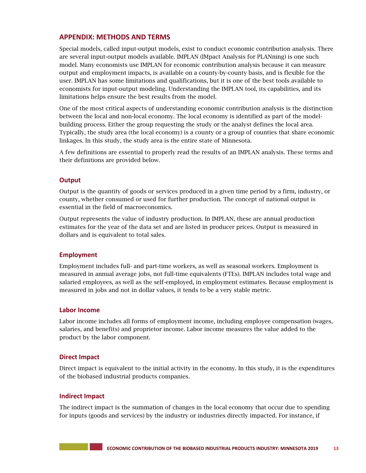# **APPENDIX: METHODS AND TERMS**

Special models, called input-output models, exist to conduct economic contribution analysis. There are several input-output models available. IMPLAN (IMpact Analysis for PLANning) is one such model. Many economists use IMPLAN for economic contribution analysis because it can measure output and employment impacts, is available on a county-by-county basis, and is flexible for the user. IMPLAN has some limitations and qualifications, but it is one of the best tools available to economists for input-output modeling. Understanding the IMPLAN tool, its capabilities, and its limitations helps ensure the best results from the model.

One of the most critical aspects of understanding economic contribution analysis is the distinction between the local and non-local economy. The local economy is identified as part of the modelbuilding process. Either the group requesting the study or the analyst defines the local area. Typically, the study area (the local economy) is a county or a group of counties that share economic linkages. In this study, the study area is the entire state of Minnesota.

A few definitions are essential to properly read the results of an IMPLAN analysis. These terms and their definitions are provided below.

#### **Output**

Output is the quantity of goods or services produced in a given time period by a firm, industry, or county, whether consumed or used for further production. The concept of national output is essential in the field of macroeconomics.

Output represents the value of industry production. In IMPLAN, these are annual production estimates for the year of the data set and are listed in producer prices. Output is measured in dollars and is equivalent to total sales.

#### **Employment**

Employment includes full- and part-time workers, as well as seasonal workers. Employment is measured in annual average jobs, not full-time equivalents (FTEs). IMPLAN includes total wage and salaried employees, as well as the self-employed, in employment estimates. Because employment is measured in jobs and not in dollar values, it tends to be a very stable metric.

#### **Labor Income**

Labor income includes all forms of employment income, including employee compensation (wages, salaries, and benefits) and proprietor income. Labor income measures the value added to the product by the labor component.

#### **Direct Impact**

Direct impact is equivalent to the initial activity in the economy. In this study, it is the expenditures of the biobased industrial products companies.

#### **Indirect Impact**

The indirect impact is the summation of changes in the local economy that occur due to spending for inputs (goods and services) by the industry or industries directly impacted. For instance, if